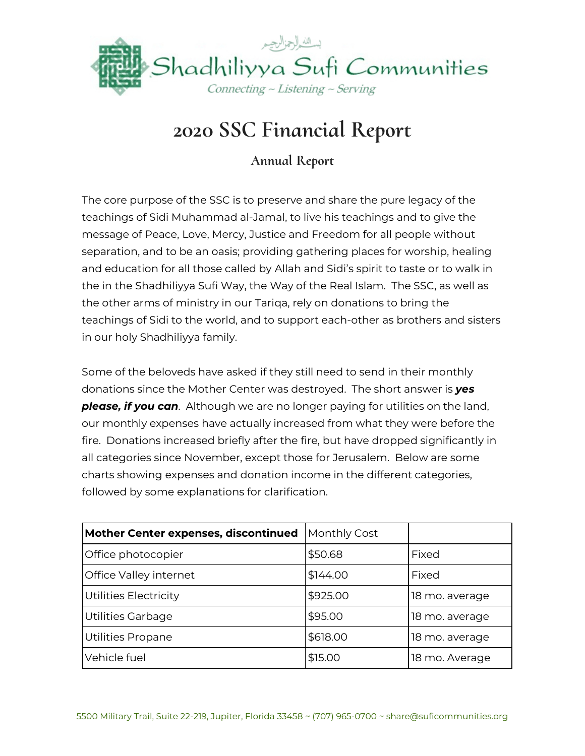

## **2020 SSC Financial Report**

**Annual Report**

The core purpose of the SSC is to preserve and share the pure legacy of the teachings of Sidi Muhammad al-Jamal, to live his teachings and to give the message of Peace, Love, Mercy, Justice and Freedom for all people without separation, and to be an oasis; providing gathering places for worship, healing and education for all those called by Allah and Sidi's spirit to taste or to walk in the in the Shadhiliyya Sufi Way, the Way of the Real Islam. The SSC, as well as the other arms of ministry in our Tariqa, rely on donations to bring the teachings of Sidi to the world, and to support each-other as brothers and sisters in our holy Shadhiliyya family.

Some of the beloveds have asked if they still need to send in their monthly donations since the Mother Center was destroyed. The short answer is *yes please, if you can*. Although we are no longer paying for utilities on the land, our monthly expenses have actually increased from what they were before the fire. Donations increased briefly after the fire, but have dropped significantly in all categories since November, except those for Jerusalem. Below are some charts showing expenses and donation income in the different categories, followed by some explanations for clarification.

| Mother Center expenses, discontinued | Monthly Cost |                |
|--------------------------------------|--------------|----------------|
| Office photocopier                   | \$50.68      | Fixed          |
| Office Valley internet               | \$144.00     | Fixed          |
| Utilities Electricity                | \$925.00     | 18 mo. average |
| Utilities Garbage                    | \$95.00      | 18 mo. average |
| <b>Utilities Propane</b>             | \$618.00     | 18 mo. average |
| Vehicle fuel                         | \$15.00      | 18 mo. Average |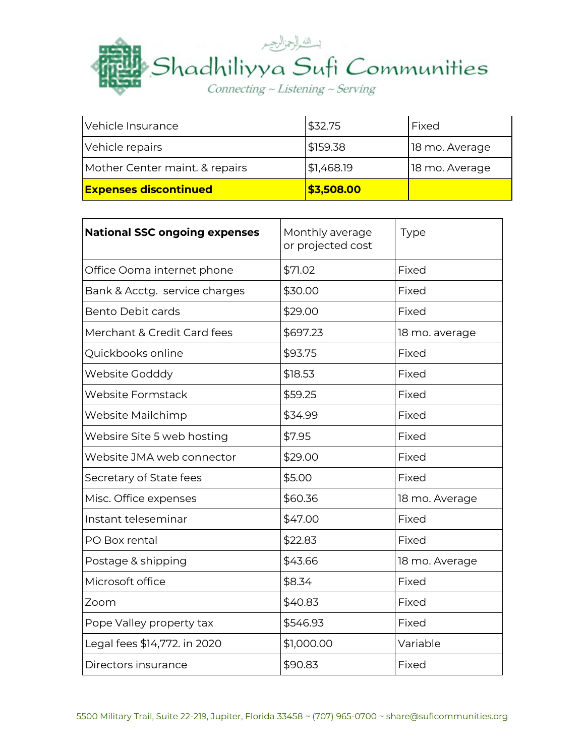

| Vehicle Insurance              | \$32.75    | Fixed          |
|--------------------------------|------------|----------------|
| Vehicle repairs                | \$159.38   | 18 mo. Average |
| Mother Center maint. & repairs | \$1,468.19 | 18 mo. Average |
| <b>Expenses discontinued</b>   | \$3,508.00 |                |

| <b>National SSC ongoing expenses</b> | Monthly average<br>Type<br>or projected cost |                |  |
|--------------------------------------|----------------------------------------------|----------------|--|
| Office Ooma internet phone           | \$71.02                                      | Fixed          |  |
| Bank & Acctg. service charges        | \$30.00                                      | Fixed          |  |
| <b>Bento Debit cards</b>             | \$29.00                                      | Fixed          |  |
| Merchant & Credit Card fees          | \$697.23<br>18 mo. average                   |                |  |
| Quickbooks online                    | \$93.75                                      | Fixed          |  |
| <b>Website Godddy</b>                | \$18.53                                      | Fixed          |  |
| <b>Website Formstack</b>             | \$59.25                                      | Fixed          |  |
| Website Mailchimp                    | \$34.99                                      | Fixed          |  |
| Websire Site 5 web hosting           | \$7.95                                       | Fixed          |  |
| Website JMA web connector            | \$29.00                                      | Fixed          |  |
| Secretary of State fees              | \$5.00                                       | Fixed          |  |
| Misc. Office expenses                | \$60.36                                      | 18 mo. Average |  |
| Instant teleseminar                  | \$47.00                                      | Fixed          |  |
| PO Box rental                        | \$22.83                                      | Fixed          |  |
| Postage & shipping                   | \$43.66                                      | 18 mo. Average |  |
| Microsoft office                     | \$8.34<br>Fixed                              |                |  |
| Zoom                                 | \$40.83<br>Fixed                             |                |  |
| Pope Valley property tax             | \$546.93<br>Fixed                            |                |  |
| Legal fees \$14,772. in 2020         | \$1,000.00<br>Variable                       |                |  |
| Directors insurance                  | \$90.83                                      | Fixed          |  |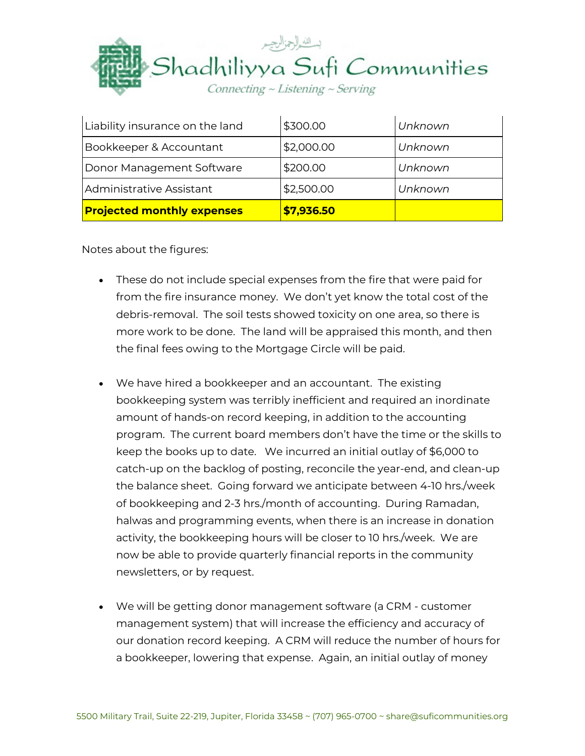

| Liability insurance on the land   | \$300.00   | Unknown |
|-----------------------------------|------------|---------|
| Bookkeeper & Accountant           | \$2,000.00 | Unknown |
| Donor Management Software         | \$200.00   | Unknown |
| Administrative Assistant          | \$2,500.00 | Unknown |
| <b>Projected monthly expenses</b> | \$7,936.50 |         |

Notes about the figures:

- These do not include special expenses from the fire that were paid for from the fire insurance money. We don't yet know the total cost of the debris-removal. The soil tests showed toxicity on one area, so there is more work to be done. The land will be appraised this month, and then the final fees owing to the Mortgage Circle will be paid.
- We have hired a bookkeeper and an accountant. The existing bookkeeping system was terribly inefficient and required an inordinate amount of hands-on record keeping, in addition to the accounting program. The current board members don't have the time or the skills to keep the books up to date. We incurred an initial outlay of \$6,000 to catch-up on the backlog of posting, reconcile the year-end, and clean-up the balance sheet. Going forward we anticipate between 4-10 hrs./week of bookkeeping and 2-3 hrs./month of accounting. During Ramadan, halwas and programming events, when there is an increase in donation activity, the bookkeeping hours will be closer to 10 hrs./week. We are now be able to provide quarterly financial reports in the community newsletters, or by request.
- We will be getting donor management software (a CRM customer management system) that will increase the efficiency and accuracy of our donation record keeping. A CRM will reduce the number of hours for a bookkeeper, lowering that expense. Again, an initial outlay of money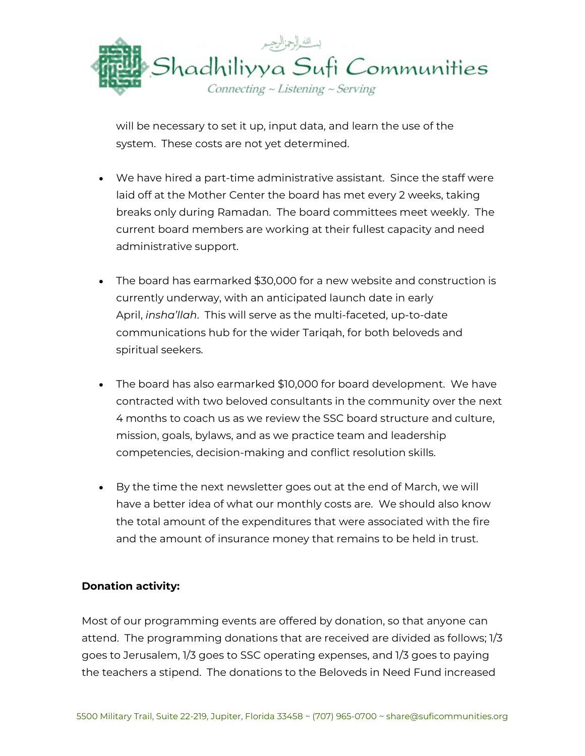

will be necessary to set it up, input data, and learn the use of the system. These costs are not yet determined.

- We have hired a part-time administrative assistant. Since the staff were laid off at the Mother Center the board has met every 2 weeks, taking breaks only during Ramadan. The board committees meet weekly. The current board members are working at their fullest capacity and need administrative support.
- The board has earmarked \$30,000 for a new website and construction is currently underway, with an anticipated launch date in early April, *insha'llah*. This will serve as the multi-faceted, up-to-date communications hub for the wider Tariqah, for both beloveds and spiritual seekers.
- The board has also earmarked \$10,000 for board development. We have contracted with two beloved consultants in the community over the next 4 months to coach us as we review the SSC board structure and culture, mission, goals, bylaws, and as we practice team and leadership competencies, decision-making and conflict resolution skills.
- By the time the next newsletter goes out at the end of March, we will have a better idea of what our monthly costs are. We should also know the total amount of the expenditures that were associated with the fire and the amount of insurance money that remains to be held in trust.

## **Donation activity:**

Most of our programming events are offered by donation, so that anyone can attend. The programming donations that are received are divided as follows; 1/3 goes to Jerusalem, 1/3 goes to SSC operating expenses, and 1/3 goes to paying the teachers a stipend. The donations to the Beloveds in Need Fund increased